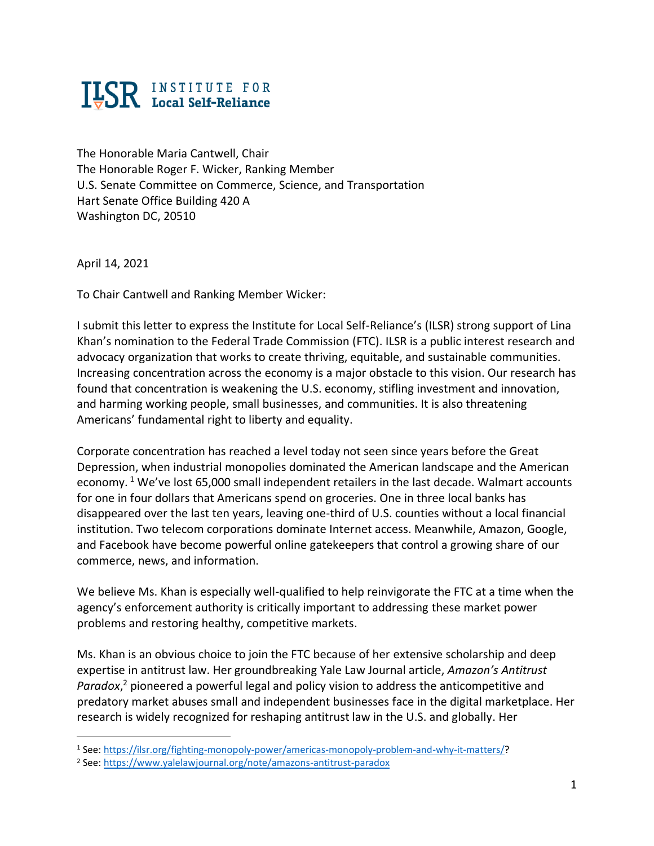## **ILSR INSTITUTE FOR**

The Honorable Maria Cantwell, Chair The Honorable Roger F. Wicker, Ranking Member U.S. Senate Committee on Commerce, Science, and Transportation Hart Senate Office Building 420 A Washington DC, 20510

April 14, 2021

To Chair Cantwell and Ranking Member Wicker:

I submit this letter to express the Institute for Local Self-Reliance's (ILSR) strong support of Lina Khan's nomination to the Federal Trade Commission (FTC). ILSR is a public interest research and advocacy organization that works to create thriving, equitable, and sustainable communities. Increasing concentration across the economy is a major obstacle to this vision. Our research has found that concentration is weakening the U.S. economy, stifling investment and innovation, and harming working people, small businesses, and communities. It is also threatening Americans' fundamental right to liberty and equality.

Corporate concentration has reached a level today not seen since years before the Great Depression, when industrial monopolies dominated the American landscape and the American economy. <sup>1</sup> We've lost 65,000 small independent retailers in the last decade. Walmart accounts for one in four dollars that Americans spend on groceries. One in three local banks has disappeared over the last ten years, leaving one-third of U.S. counties without a local financial institution. Two telecom corporations dominate Internet access. Meanwhile, Amazon, Google, and Facebook have become powerful online gatekeepers that control a growing share of our commerce, news, and information.

We believe Ms. Khan is especially well-qualified to help reinvigorate the FTC at a time when the agency's enforcement authority is critically important to addressing these market power problems and restoring healthy, competitive markets.

Ms. Khan is an obvious choice to join the FTC because of her extensive scholarship and deep expertise in antitrust law. Her groundbreaking Yale Law Journal article, *Amazon's Antitrust*  Paradox,<sup>2</sup> pioneered a powerful legal and policy vision to address the anticompetitive and predatory market abuses small and independent businesses face in the digital marketplace. Her research is widely recognized for reshaping antitrust law in the U.S. and globally. Her

<sup>1</sup> See: [https://ilsr.org/fighting-monopoly-power/americas-monopoly-problem-and-why-it-matters/?](https://ilsr.org/fighting-monopoly-power/americas-monopoly-problem-and-why-it-matters/)

<sup>2</sup> See:<https://www.yalelawjournal.org/note/amazons-antitrust-paradox>